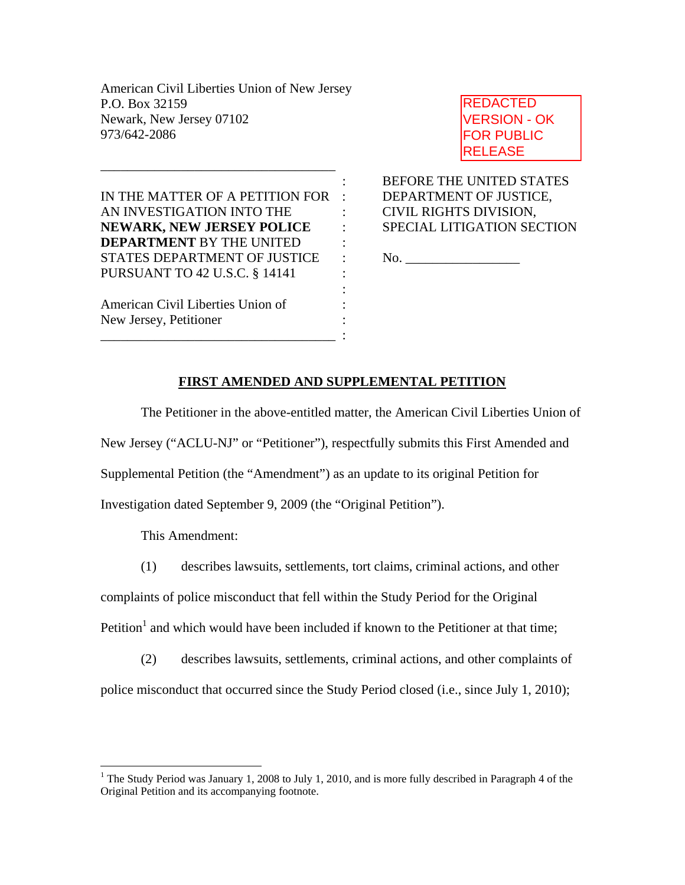American Civil Liberties Union of New Jersey P.O. Box 32159 Newark, New Jersey 07102 973/642-2086

IN THE MATTER OF A PETITION FOR : DEPARTMENT OF JUSTICE, AN INVESTIGATION INTO THE : CIVIL RIGHTS DIVISION, **NEWARK, NEW JERSEY POLICE** : SPECIAL LITIGATION SECTION **DEPARTMENT** BY THE UNITED : STATES DEPARTMENT OF JUSTICE : No. \_\_\_\_\_\_\_\_\_\_\_\_\_\_\_\_\_ PURSUANT TO 42 U.S.C. § 14141 :

the contract of the contract of the contract of the contract of the contract of

\_\_\_\_\_\_\_\_\_\_\_\_\_\_\_\_\_\_\_\_\_\_\_\_\_\_\_\_\_\_\_\_\_\_\_ :

\_\_\_\_\_\_\_\_\_\_\_\_\_\_\_\_\_\_\_\_\_\_\_\_\_\_\_\_\_\_\_\_\_\_\_

American Civil Liberties Union of : New Jersey, Petitioner :

REDACTED VERSION - OK FOR PUBLIC RELEASE

: BEFORE THE UNITED STATES

### **FIRST AMENDED AND SUPPLEMENTAL PETITION**

The Petitioner in the above-entitled matter, the American Civil Liberties Union of

New Jersey ("ACLU-NJ" or "Petitioner"), respectfully submits this First Amended and

Supplemental Petition (the "Amendment") as an update to its original Petition for

Investigation dated September 9, 2009 (the "Original Petition").

This Amendment:

1

(1) describes lawsuits, settlements, tort claims, criminal actions, and other

complaints of police misconduct that fell within the Study Period for the Original

Petition<sup>1</sup> and which would have been included if known to the Petitioner at that time;

(2) describes lawsuits, settlements, criminal actions, and other complaints of police misconduct that occurred since the Study Period closed (i.e., since July 1, 2010);

<sup>&</sup>lt;sup>1</sup> The Study Period was January 1, 2008 to July 1, 2010, and is more fully described in Paragraph 4 of the Original Petition and its accompanying footnote.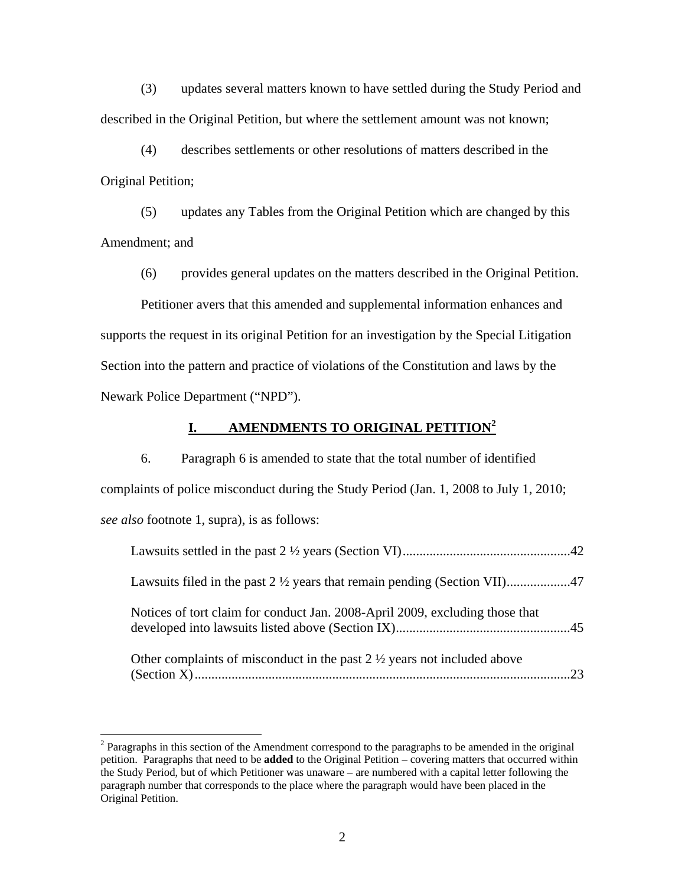(3) updates several matters known to have settled during the Study Period and described in the Original Petition, but where the settlement amount was not known;

(4) describes settlements or other resolutions of matters described in the Original Petition;

(5) updates any Tables from the Original Petition which are changed by this Amendment; and

(6) provides general updates on the matters described in the Original Petition.

 Petitioner avers that this amended and supplemental information enhances and supports the request in its original Petition for an investigation by the Special Litigation Section into the pattern and practice of violations of the Constitution and laws by the Newark Police Department ("NPD").

### **I. AMENDMENTS TO ORIGINAL PETITION2**

 6. Paragraph 6 is amended to state that the total number of identified complaints of police misconduct during the Study Period (Jan. 1, 2008 to July 1, 2010; *see also* footnote 1, supra), is as follows:

| Notices of tort claim for conduct Jan. 2008-April 2009, excluding those that       |  |
|------------------------------------------------------------------------------------|--|
| Other complaints of misconduct in the past $2\frac{1}{2}$ years not included above |  |

 $2$  Paragraphs in this section of the Amendment correspond to the paragraphs to be amended in the original petition. Paragraphs that need to be **added** to the Original Petition – covering matters that occurred within the Study Period, but of which Petitioner was unaware – are numbered with a capital letter following the paragraph number that corresponds to the place where the paragraph would have been placed in the Original Petition.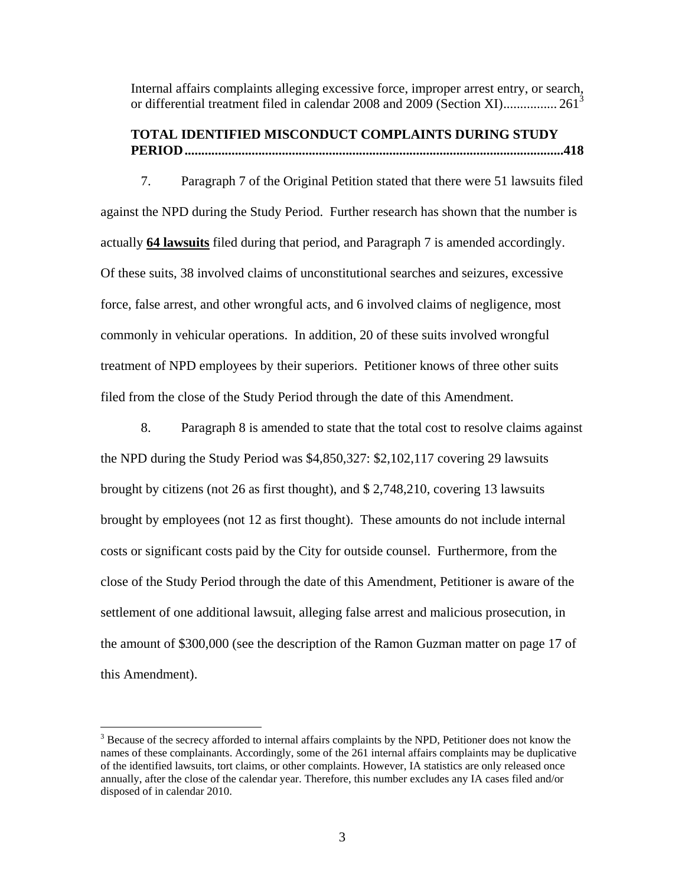Internal affairs complaints alleging excessive force, improper arrest entry, or search, or differential treatment filed in calendar 2008 and 2009 (Section XI)................. 261<sup>3</sup>

### **TOTAL IDENTIFIED MISCONDUCT COMPLAINTS DURING STUDY PERIOD.................................................................................................................418**

 7. Paragraph 7 of the Original Petition stated that there were 51 lawsuits filed against the NPD during the Study Period. Further research has shown that the number is actually **64 lawsuits** filed during that period, and Paragraph 7 is amended accordingly. Of these suits, 38 involved claims of unconstitutional searches and seizures, excessive force, false arrest, and other wrongful acts, and 6 involved claims of negligence, most commonly in vehicular operations. In addition, 20 of these suits involved wrongful treatment of NPD employees by their superiors. Petitioner knows of three other suits filed from the close of the Study Period through the date of this Amendment.

 8. Paragraph 8 is amended to state that the total cost to resolve claims against the NPD during the Study Period was \$4,850,327: \$2,102,117 covering 29 lawsuits brought by citizens (not 26 as first thought), and \$ 2,748,210, covering 13 lawsuits brought by employees (not 12 as first thought). These amounts do not include internal costs or significant costs paid by the City for outside counsel. Furthermore, from the close of the Study Period through the date of this Amendment, Petitioner is aware of the settlement of one additional lawsuit, alleging false arrest and malicious prosecution, in the amount of \$300,000 (see the description of the Ramon Guzman matter on page 17 of this Amendment).

<sup>&</sup>lt;sup>3</sup> Because of the secrecy afforded to internal affairs complaints by the NPD, Petitioner does not know the names of these complainants. Accordingly, some of the 261 internal affairs complaints may be duplicative of the identified lawsuits, tort claims, or other complaints. However, IA statistics are only released once annually, after the close of the calendar year. Therefore, this number excludes any IA cases filed and/or disposed of in calendar 2010.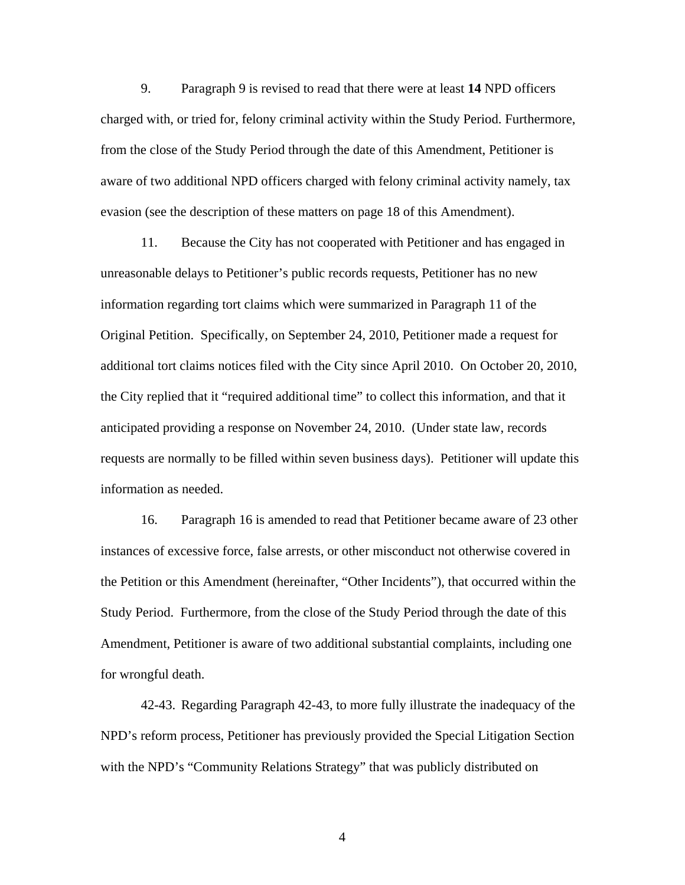9. Paragraph 9 is revised to read that there were at least **14** NPD officers charged with, or tried for, felony criminal activity within the Study Period. Furthermore, from the close of the Study Period through the date of this Amendment, Petitioner is aware of two additional NPD officers charged with felony criminal activity namely, tax evasion (see the description of these matters on page 18 of this Amendment).

 11. Because the City has not cooperated with Petitioner and has engaged in unreasonable delays to Petitioner's public records requests, Petitioner has no new information regarding tort claims which were summarized in Paragraph 11 of the Original Petition. Specifically, on September 24, 2010, Petitioner made a request for additional tort claims notices filed with the City since April 2010. On October 20, 2010, the City replied that it "required additional time" to collect this information, and that it anticipated providing a response on November 24, 2010. (Under state law, records requests are normally to be filled within seven business days). Petitioner will update this information as needed.

 16. Paragraph 16 is amended to read that Petitioner became aware of 23 other instances of excessive force, false arrests, or other misconduct not otherwise covered in the Petition or this Amendment (hereinafter, "Other Incidents"), that occurred within the Study Period. Furthermore, from the close of the Study Period through the date of this Amendment, Petitioner is aware of two additional substantial complaints, including one for wrongful death.

 42-43. Regarding Paragraph 42-43, to more fully illustrate the inadequacy of the NPD's reform process, Petitioner has previously provided the Special Litigation Section with the NPD's "Community Relations Strategy" that was publicly distributed on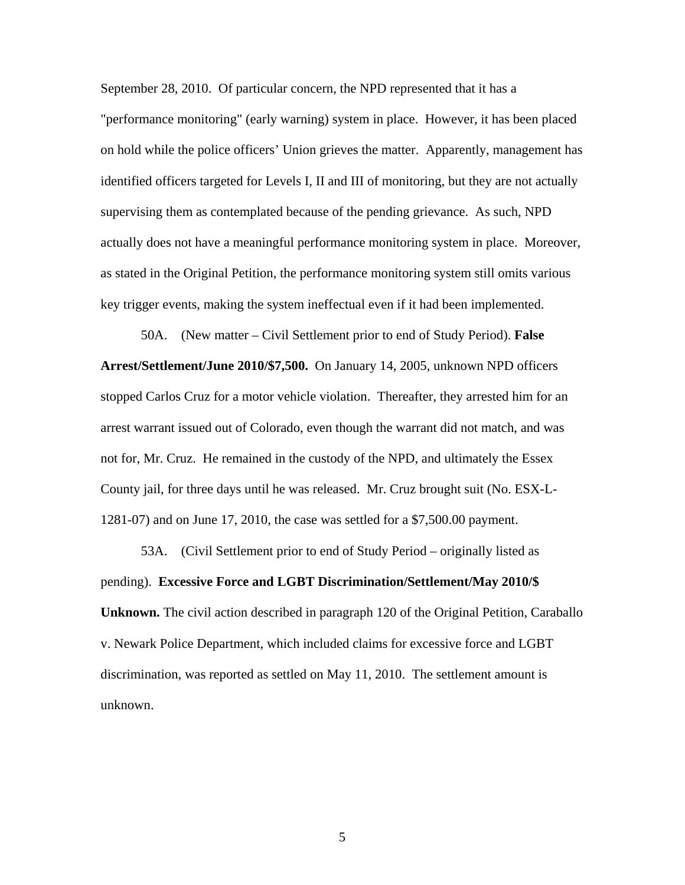September 28, 2010. Of particular concern, the NPD represented that it has a "performance monitoring" (early warning) system in place. However, it has been placed on hold while the police officers' Union grieves the matter. Apparently, management has identified officers targeted for Levels I, II and III of monitoring, but they are not actually supervising them as contemplated because of the pending grievance. As such, NPD actually does not have a meaningful performance monitoring system in place. Moreover, as stated in the Original Petition, the performance monitoring system still omits various key trigger events, making the system ineffectual even if it had been implemented.

 50A. (New matter – Civil Settlement prior to end of Study Period). **False Arrest/Settlement/June 2010/\$7,500.** On January 14, 2005, unknown NPD officers stopped Carlos Cruz for a motor vehicle violation. Thereafter, they arrested him for an arrest warrant issued out of Colorado, even though the warrant did not match, and was not for, Mr. Cruz. He remained in the custody of the NPD, and ultimately the Essex County jail, for three days until he was released. Mr. Cruz brought suit (No. ESX-L-1281-07) and on June 17, 2010, the case was settled for a \$7,500.00 payment.

53A. (Civil Settlement prior to end of Study Period – originally listed as pending). **Excessive Force and LGBT Discrimination/Settlement/May 2010/\$ Unknown.** The civil action described in paragraph 120 of the Original Petition, Caraballo v. Newark Police Department, which included claims for excessive force and LGBT discrimination, was reported as settled on May 11, 2010. The settlement amount is unknown.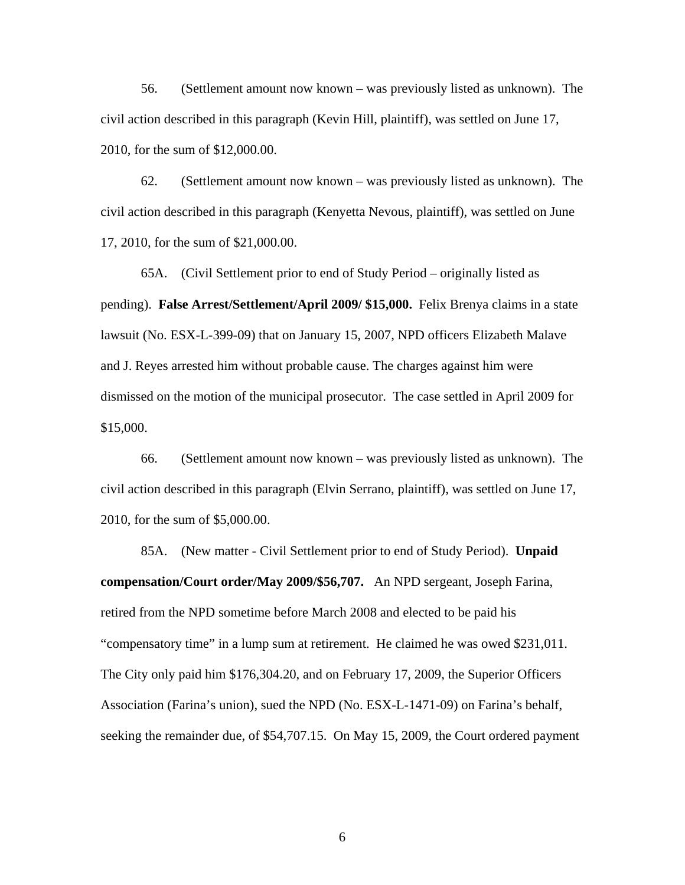56. (Settlement amount now known – was previously listed as unknown). The civil action described in this paragraph (Kevin Hill, plaintiff), was settled on June 17, 2010, for the sum of \$12,000.00.

 62. (Settlement amount now known – was previously listed as unknown). The civil action described in this paragraph (Kenyetta Nevous, plaintiff), was settled on June 17, 2010, for the sum of \$21,000.00.

65A. (Civil Settlement prior to end of Study Period – originally listed as pending). **False Arrest/Settlement/April 2009/ \$15,000.** Felix Brenya claims in a state lawsuit (No. ESX-L-399-09) that on January 15, 2007, NPD officers Elizabeth Malave and J. Reyes arrested him without probable cause. The charges against him were dismissed on the motion of the municipal prosecutor. The case settled in April 2009 for \$15,000.

 66. (Settlement amount now known – was previously listed as unknown). The civil action described in this paragraph (Elvin Serrano, plaintiff), was settled on June 17, 2010, for the sum of \$5,000.00.

 85A. (New matter - Civil Settlement prior to end of Study Period). **Unpaid compensation/Court order/May 2009/\$56,707.** An NPD sergeant, Joseph Farina, retired from the NPD sometime before March 2008 and elected to be paid his "compensatory time" in a lump sum at retirement. He claimed he was owed \$231,011. The City only paid him \$176,304.20, and on February 17, 2009, the Superior Officers Association (Farina's union), sued the NPD (No. ESX-L-1471-09) on Farina's behalf, seeking the remainder due, of \$54,707.15. On May 15, 2009, the Court ordered payment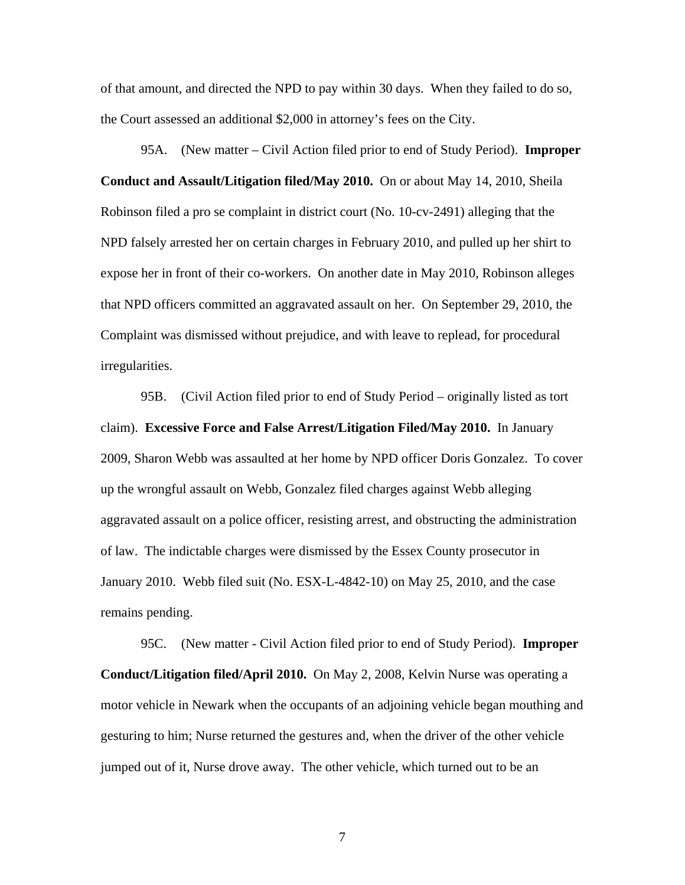of that amount, and directed the NPD to pay within 30 days. When they failed to do so, the Court assessed an additional \$2,000 in attorney's fees on the City.

95A. (New matter – Civil Action filed prior to end of Study Period). **Improper Conduct and Assault/Litigation filed/May 2010.** On or about May 14, 2010, Sheila Robinson filed a pro se complaint in district court (No. 10-cv-2491) alleging that the NPD falsely arrested her on certain charges in February 2010, and pulled up her shirt to expose her in front of their co-workers. On another date in May 2010, Robinson alleges that NPD officers committed an aggravated assault on her. On September 29, 2010, the Complaint was dismissed without prejudice, and with leave to replead, for procedural irregularities.

95B. (Civil Action filed prior to end of Study Period – originally listed as tort claim). **Excessive Force and False Arrest/Litigation Filed/May 2010.** In January 2009, Sharon Webb was assaulted at her home by NPD officer Doris Gonzalez. To cover up the wrongful assault on Webb, Gonzalez filed charges against Webb alleging aggravated assault on a police officer, resisting arrest, and obstructing the administration of law. The indictable charges were dismissed by the Essex County prosecutor in January 2010. Webb filed suit (No. ESX-L-4842-10) on May 25, 2010, and the case remains pending.

 95C. (New matter - Civil Action filed prior to end of Study Period). **Improper Conduct/Litigation filed/April 2010.** On May 2, 2008, Kelvin Nurse was operating a motor vehicle in Newark when the occupants of an adjoining vehicle began mouthing and gesturing to him; Nurse returned the gestures and, when the driver of the other vehicle jumped out of it, Nurse drove away. The other vehicle, which turned out to be an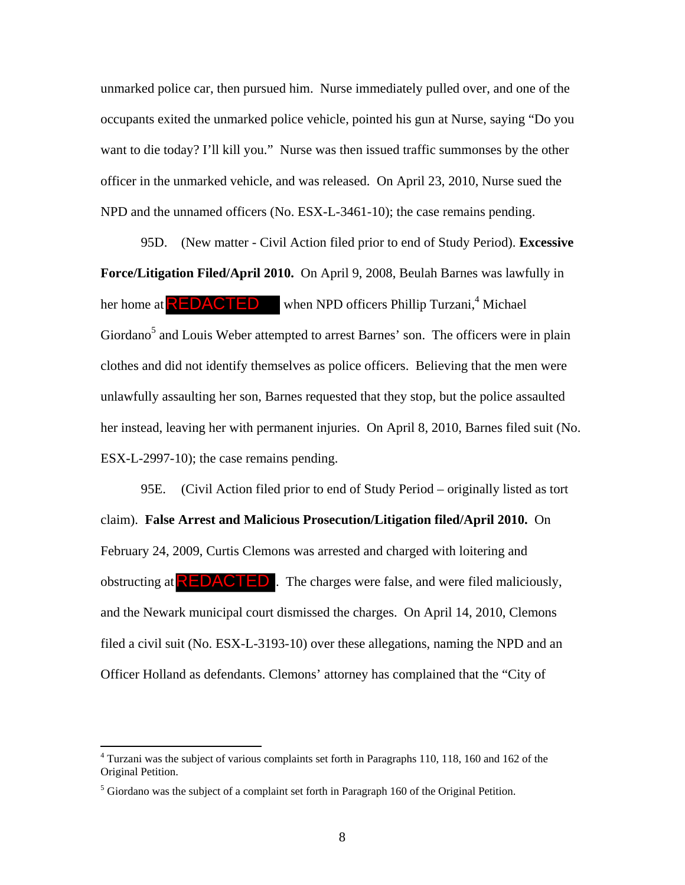unmarked police car, then pursued him. Nurse immediately pulled over, and one of the occupants exited the unmarked police vehicle, pointed his gun at Nurse, saying "Do you want to die today? I'll kill you." Nurse was then issued traffic summonses by the other officer in the unmarked vehicle, and was released. On April 23, 2010, Nurse sued the NPD and the unnamed officers (No. ESX-L-3461-10); the case remains pending.

 95D. (New matter - Civil Action filed prior to end of Study Period). **Excessive Force/Litigation Filed/April 2010.** On April 9, 2008, Beulah Barnes was lawfully in her home at  $\mathsf{REDACTED}$  when NPD officers Phillip Turzani,<sup>4</sup> Michael Giordano<sup>5</sup> and Louis Weber attempted to arrest Barnes' son. The officers were in plain clothes and did not identify themselves as police officers. Believing that the men were unlawfully assaulting her son, Barnes requested that they stop, but the police assaulted her instead, leaving her with permanent injuries. On April 8, 2010, Barnes filed suit (No. ESX-L-2997-10); the case remains pending.

95E. (Civil Action filed prior to end of Study Period – originally listed as tort claim). **False Arrest and Malicious Prosecution/Litigation filed/April 2010.** On February 24, 2009, Curtis Clemons was arrested and charged with loitering and obstructing at  $REDACTED$ . The charges were false, and were filed maliciously, and the Newark municipal court dismissed the charges. On April 14, 2010, Clemons filed a civil suit (No. ESX-L-3193-10) over these allegations, naming the NPD and an Officer Holland as defendants. Clemons' attorney has complained that the "City of

<sup>&</sup>lt;sup>4</sup> Turzani was the subject of various complaints set forth in Paragraphs 110, 118, 160 and 162 of the Original Petition.

 $<sup>5</sup>$  Giordano was the subject of a complaint set forth in Paragraph 160 of the Original Petition.</sup>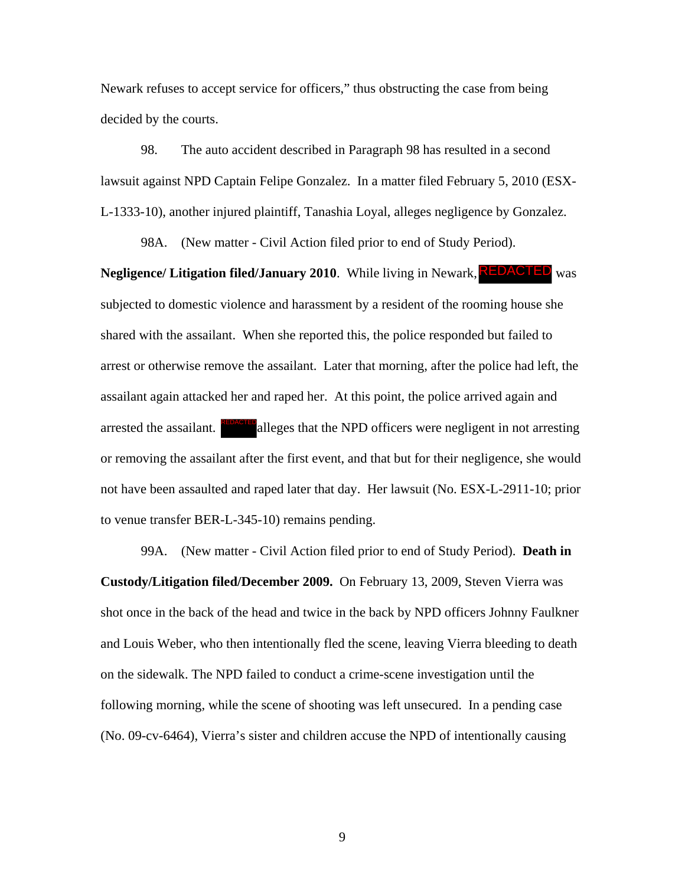Newark refuses to accept service for officers," thus obstructing the case from being decided by the courts.

98. The auto accident described in Paragraph 98 has resulted in a second lawsuit against NPD Captain Felipe Gonzalez. In a matter filed February 5, 2010 (ESX-L-1333-10), another injured plaintiff, Tanashia Loyal, alleges negligence by Gonzalez.

98A. (New matter - Civil Action filed prior to end of Study Period).

**Negligence/ Litigation filed/January 2010.** While living in Newark, **REDACTED** was subjected to domestic violence and harassment by a resident of the rooming house she shared with the assailant. When she reported this, the police responded but failed to arrest or otherwise remove the assailant. Later that morning, after the police had left, the assailant again attacked her and raped her. At this point, the police arrived again and arrested the assailant. **REDACTED** alleges that the NPD officers were negligent in not arresting or removing the assailant after the first event, and that but for their negligence, she would not have been assaulted and raped later that day. Her lawsuit (No. ESX-L-2911-10; prior to venue transfer BER-L-345-10) remains pending.

99A. (New matter - Civil Action filed prior to end of Study Period). **Death in Custody/Litigation filed/December 2009.** On February 13, 2009, Steven Vierra was shot once in the back of the head and twice in the back by NPD officers Johnny Faulkner and Louis Weber, who then intentionally fled the scene, leaving Vierra bleeding to death on the sidewalk. The NPD failed to conduct a crime-scene investigation until the following morning, while the scene of shooting was left unsecured. In a pending case (No. 09-cv-6464), Vierra's sister and children accuse the NPD of intentionally causing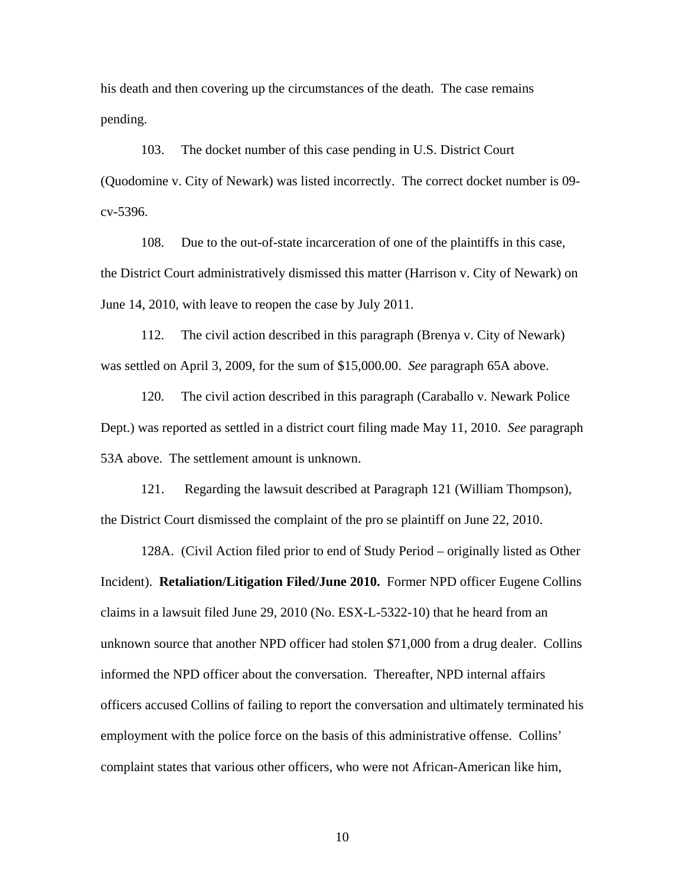his death and then covering up the circumstances of the death. The case remains pending.

103. The docket number of this case pending in U.S. District Court (Quodomine v. City of Newark) was listed incorrectly. The correct docket number is 09 cv-5396.

108. Due to the out-of-state incarceration of one of the plaintiffs in this case, the District Court administratively dismissed this matter (Harrison v. City of Newark) on June 14, 2010, with leave to reopen the case by July 2011.

 112. The civil action described in this paragraph (Brenya v. City of Newark) was settled on April 3, 2009, for the sum of \$15,000.00. *See* paragraph 65A above.

 120. The civil action described in this paragraph (Caraballo v. Newark Police Dept.) was reported as settled in a district court filing made May 11, 2010. *See* paragraph 53A above. The settlement amount is unknown.

 121. Regarding the lawsuit described at Paragraph 121 (William Thompson), the District Court dismissed the complaint of the pro se plaintiff on June 22, 2010.

 128A. (Civil Action filed prior to end of Study Period – originally listed as Other Incident). **Retaliation/Litigation Filed/June 2010.** Former NPD officer Eugene Collins claims in a lawsuit filed June 29, 2010 (No. ESX-L-5322-10) that he heard from an unknown source that another NPD officer had stolen \$71,000 from a drug dealer. Collins informed the NPD officer about the conversation. Thereafter, NPD internal affairs officers accused Collins of failing to report the conversation and ultimately terminated his employment with the police force on the basis of this administrative offense. Collins' complaint states that various other officers, who were not African-American like him,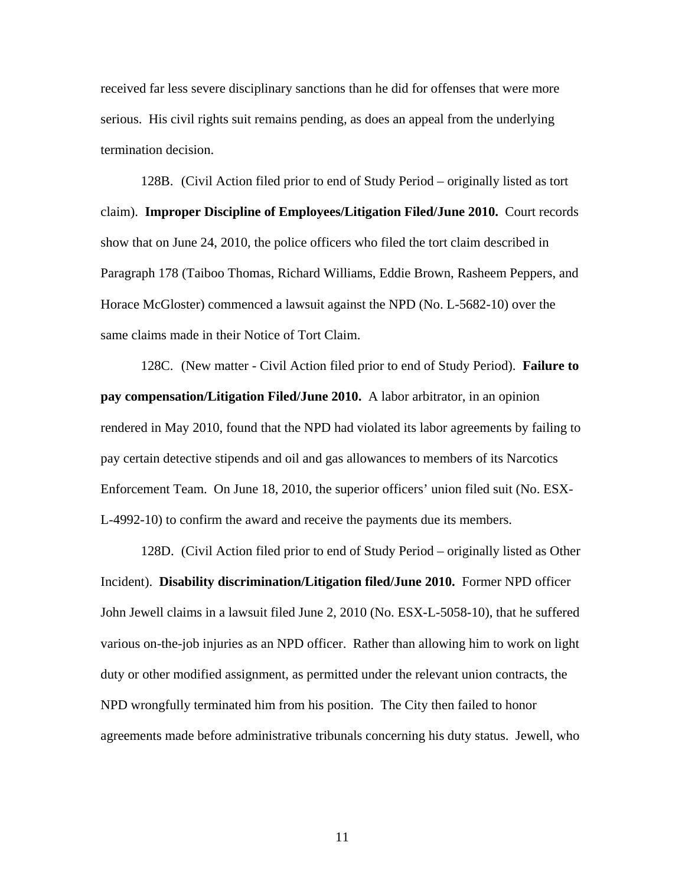received far less severe disciplinary sanctions than he did for offenses that were more serious. His civil rights suit remains pending, as does an appeal from the underlying termination decision.

128B. (Civil Action filed prior to end of Study Period – originally listed as tort claim). **Improper Discipline of Employees/Litigation Filed/June 2010.** Court records show that on June 24, 2010, the police officers who filed the tort claim described in Paragraph 178 (Taiboo Thomas, Richard Williams, Eddie Brown, Rasheem Peppers, and Horace McGloster) commenced a lawsuit against the NPD (No. L-5682-10) over the same claims made in their Notice of Tort Claim.

 128C. (New matter - Civil Action filed prior to end of Study Period). **Failure to pay compensation/Litigation Filed/June 2010.** A labor arbitrator, in an opinion rendered in May 2010, found that the NPD had violated its labor agreements by failing to pay certain detective stipends and oil and gas allowances to members of its Narcotics Enforcement Team. On June 18, 2010, the superior officers' union filed suit (No. ESX-L-4992-10) to confirm the award and receive the payments due its members.

 128D. (Civil Action filed prior to end of Study Period – originally listed as Other Incident). **Disability discrimination/Litigation filed/June 2010.** Former NPD officer John Jewell claims in a lawsuit filed June 2, 2010 (No. ESX-L-5058-10), that he suffered various on-the-job injuries as an NPD officer. Rather than allowing him to work on light duty or other modified assignment, as permitted under the relevant union contracts, the NPD wrongfully terminated him from his position. The City then failed to honor agreements made before administrative tribunals concerning his duty status. Jewell, who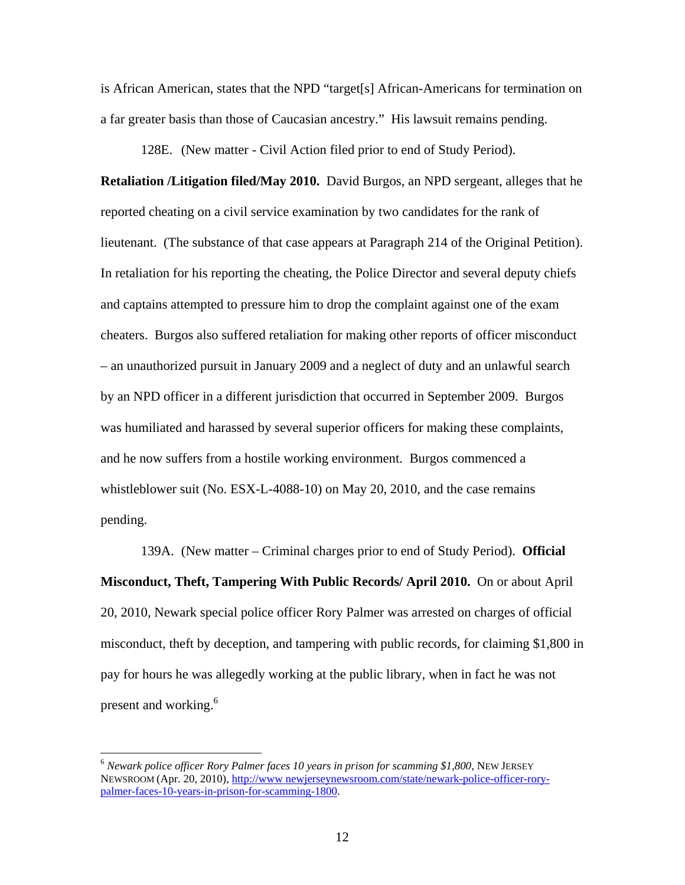is African American, states that the NPD "target[s] African-Americans for termination on a far greater basis than those of Caucasian ancestry." His lawsuit remains pending.

128E. (New matter - Civil Action filed prior to end of Study Period).

**Retaliation /Litigation filed/May 2010.** David Burgos, an NPD sergeant, alleges that he reported cheating on a civil service examination by two candidates for the rank of lieutenant. (The substance of that case appears at Paragraph 214 of the Original Petition). In retaliation for his reporting the cheating, the Police Director and several deputy chiefs and captains attempted to pressure him to drop the complaint against one of the exam cheaters. Burgos also suffered retaliation for making other reports of officer misconduct – an unauthorized pursuit in January 2009 and a neglect of duty and an unlawful search by an NPD officer in a different jurisdiction that occurred in September 2009. Burgos was humiliated and harassed by several superior officers for making these complaints, and he now suffers from a hostile working environment. Burgos commenced a whistleblower suit (No. ESX-L-4088-10) on May 20, 2010, and the case remains pending.

 139A. (New matter – Criminal charges prior to end of Study Period). **Official Misconduct, Theft, Tampering With Public Records/ April 2010.** On or about April 20, 2010, Newark special police officer Rory Palmer was arrested on charges of official misconduct, theft by deception, and tampering with public records, for claiming \$1,800 in pay for hours he was allegedly working at the public library, when in fact he was not present and working.<sup>6</sup>

<sup>6</sup> *Newark police officer Rory Palmer faces 10 years in prison for scamming \$1,800*, NEW JERSEY NEWSROOM (Apr. 20, 2010), http://www newjerseynewsroom.com/state/newark-police-officer-rorypalmer-faces-10-years-in-prison-for-scamming-1800.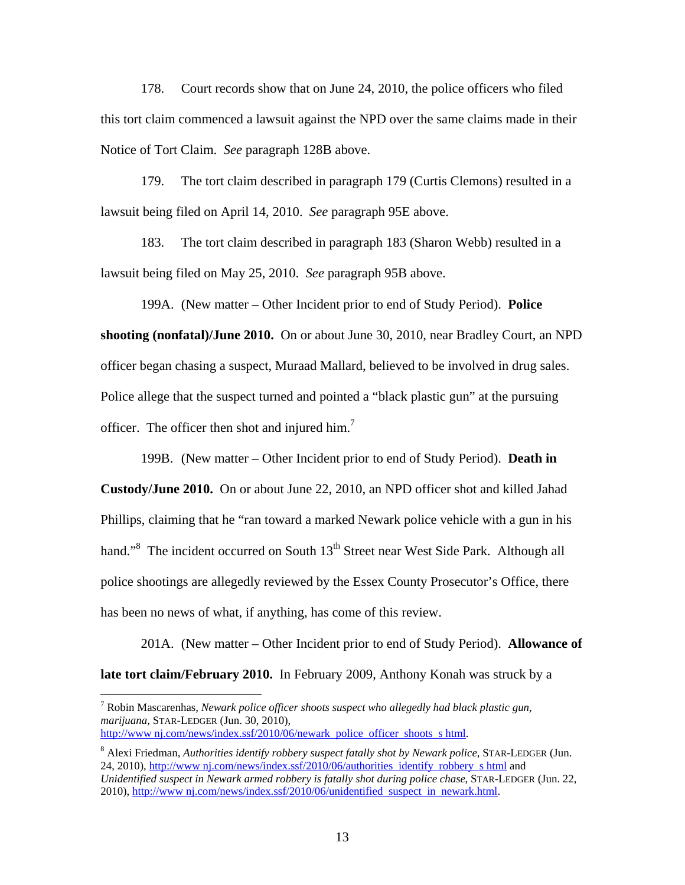178. Court records show that on June 24, 2010, the police officers who filed this tort claim commenced a lawsuit against the NPD over the same claims made in their Notice of Tort Claim. *See* paragraph 128B above.

 179. The tort claim described in paragraph 179 (Curtis Clemons) resulted in a lawsuit being filed on April 14, 2010. *See* paragraph 95E above.

 183. The tort claim described in paragraph 183 (Sharon Webb) resulted in a lawsuit being filed on May 25, 2010. *See* paragraph 95B above.

 199A. (New matter – Other Incident prior to end of Study Period). **Police shooting (nonfatal)/June 2010.** On or about June 30, 2010, near Bradley Court, an NPD officer began chasing a suspect, Muraad Mallard, believed to be involved in drug sales. Police allege that the suspect turned and pointed a "black plastic gun" at the pursuing officer. The officer then shot and injured him.<sup>7</sup>

199B. (New matter – Other Incident prior to end of Study Period). **Death in** 

**Custody/June 2010.** On or about June 22, 2010, an NPD officer shot and killed Jahad Phillips, claiming that he "ran toward a marked Newark police vehicle with a gun in his hand."<sup>8</sup> The incident occurred on South 13<sup>th</sup> Street near West Side Park. Although all police shootings are allegedly reviewed by the Essex County Prosecutor's Office, there has been no news of what, if anything, has come of this review.

201A. (New matter – Other Incident prior to end of Study Period). **Allowance of late tort claim/February 2010.** In February 2009, Anthony Konah was struck by a

7 Robin Mascarenhas, *Newark police officer shoots suspect who allegedly had black plastic gun, marijuana*, STAR-LEDGER (Jun. 30, 2010),

http://www nj.com/news/index.ssf/2010/06/newark police officer shoots s html.

<sup>8</sup> Alexi Friedman, *Authorities identify robbery suspect fatally shot by Newark police*, STAR-LEDGER (Jun. 24, 2010), http://www nj.com/news/index.ssf/2010/06/authorities identify robbery s html and *Unidentified suspect in Newark armed robbery is fatally shot during police chase*, STAR-LEDGER (Jun. 22,

<sup>2010),</sup> http://www nj.com/news/index.ssf/2010/06/unidentified suspect in newark.html.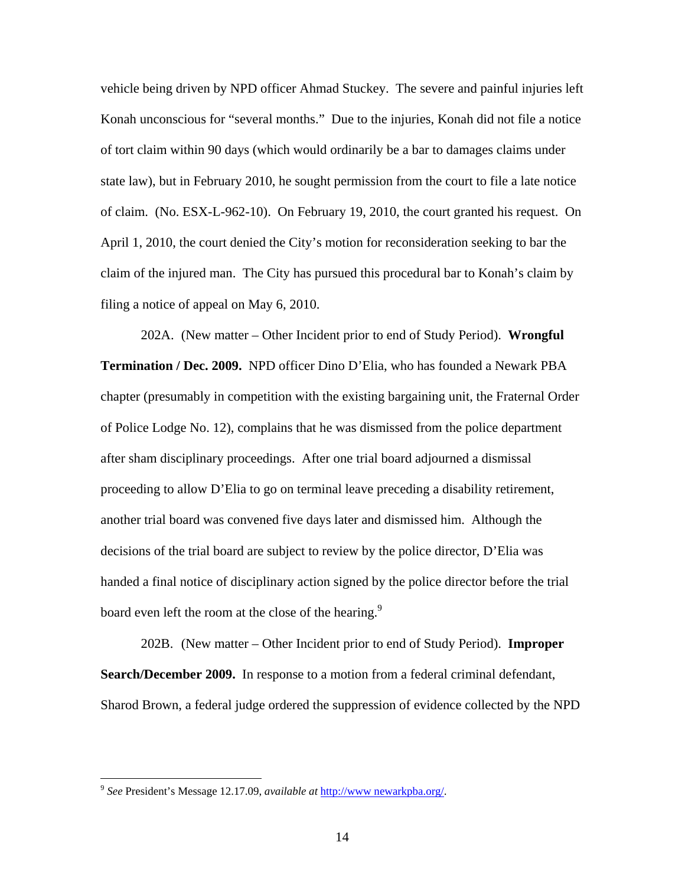vehicle being driven by NPD officer Ahmad Stuckey. The severe and painful injuries left Konah unconscious for "several months." Due to the injuries, Konah did not file a notice of tort claim within 90 days (which would ordinarily be a bar to damages claims under state law), but in February 2010, he sought permission from the court to file a late notice of claim. (No. ESX-L-962-10). On February 19, 2010, the court granted his request. On April 1, 2010, the court denied the City's motion for reconsideration seeking to bar the claim of the injured man. The City has pursued this procedural bar to Konah's claim by filing a notice of appeal on May 6, 2010.

202A. (New matter – Other Incident prior to end of Study Period). **Wrongful Termination / Dec. 2009.** NPD officer Dino D'Elia, who has founded a Newark PBA chapter (presumably in competition with the existing bargaining unit, the Fraternal Order of Police Lodge No. 12), complains that he was dismissed from the police department after sham disciplinary proceedings. After one trial board adjourned a dismissal proceeding to allow D'Elia to go on terminal leave preceding a disability retirement, another trial board was convened five days later and dismissed him. Although the decisions of the trial board are subject to review by the police director, D'Elia was handed a final notice of disciplinary action signed by the police director before the trial board even left the room at the close of the hearing.<sup>9</sup>

 202B. (New matter – Other Incident prior to end of Study Period). **Improper Search/December 2009.** In response to a motion from a federal criminal defendant, Sharod Brown, a federal judge ordered the suppression of evidence collected by the NPD

<sup>9</sup> *See* President's Message 12.17.09, *available at* http://www newarkpba.org/.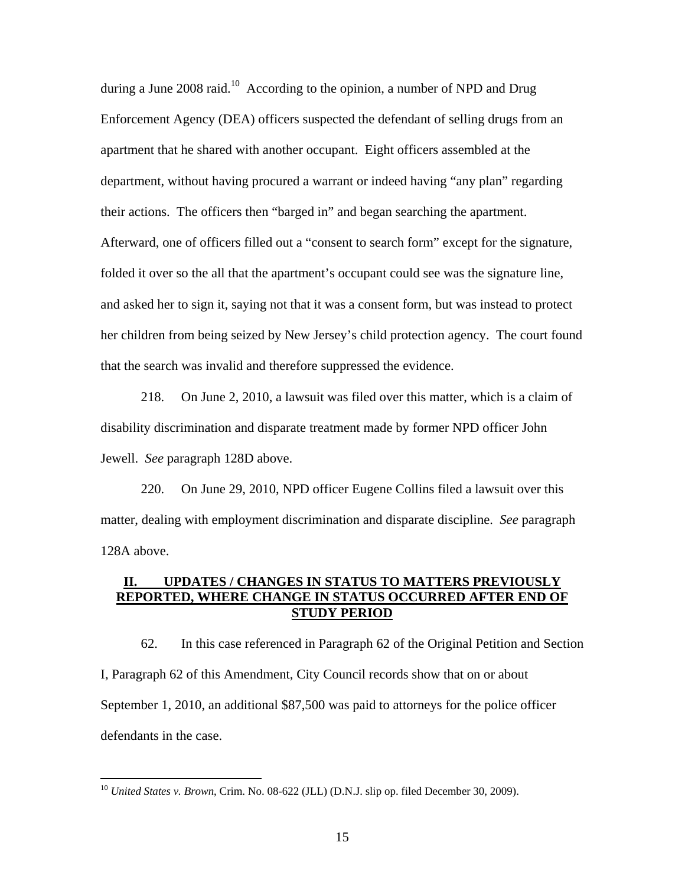during a June 2008 raid.<sup>10</sup> According to the opinion, a number of NPD and Drug Enforcement Agency (DEA) officers suspected the defendant of selling drugs from an apartment that he shared with another occupant. Eight officers assembled at the department, without having procured a warrant or indeed having "any plan" regarding their actions. The officers then "barged in" and began searching the apartment. Afterward, one of officers filled out a "consent to search form" except for the signature, folded it over so the all that the apartment's occupant could see was the signature line, and asked her to sign it, saying not that it was a consent form, but was instead to protect her children from being seized by New Jersey's child protection agency. The court found that the search was invalid and therefore suppressed the evidence.

 218. On June 2, 2010, a lawsuit was filed over this matter, which is a claim of disability discrimination and disparate treatment made by former NPD officer John Jewell. *See* paragraph 128D above.

 220. On June 29, 2010, NPD officer Eugene Collins filed a lawsuit over this matter, dealing with employment discrimination and disparate discipline. *See* paragraph 128A above.

### **II. UPDATES / CHANGES IN STATUS TO MATTERS PREVIOUSLY REPORTED, WHERE CHANGE IN STATUS OCCURRED AFTER END OF STUDY PERIOD**

62. In this case referenced in Paragraph 62 of the Original Petition and Section I, Paragraph 62 of this Amendment, City Council records show that on or about September 1, 2010, an additional \$87,500 was paid to attorneys for the police officer defendants in the case.

<u>.</u>

<sup>&</sup>lt;sup>10</sup> *United States v. Brown*, Crim. No. 08-622 (JLL) (D.N.J. slip op. filed December 30, 2009).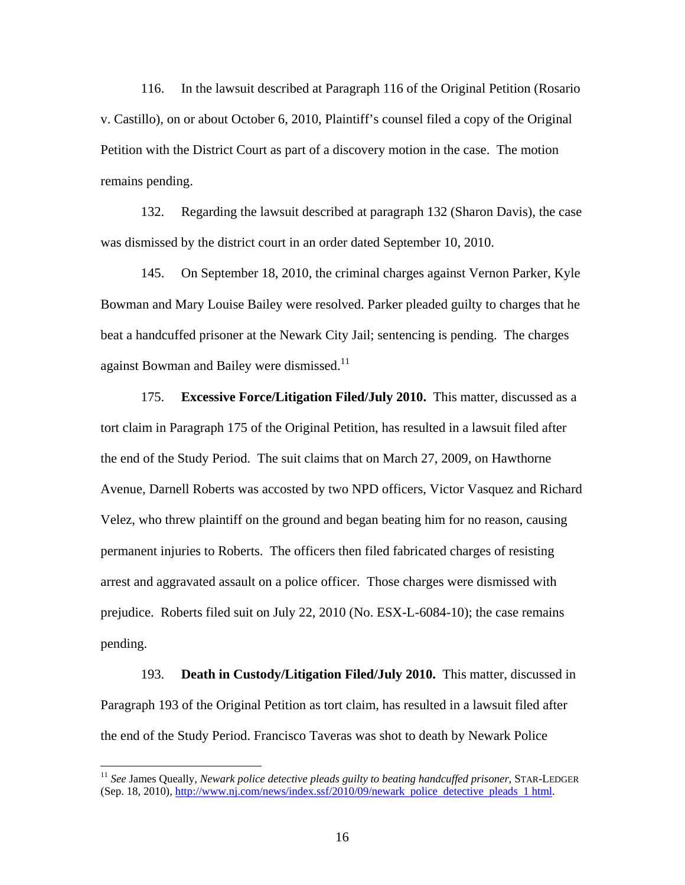116. In the lawsuit described at Paragraph 116 of the Original Petition (Rosario v. Castillo), on or about October 6, 2010, Plaintiff's counsel filed a copy of the Original Petition with the District Court as part of a discovery motion in the case. The motion remains pending.

132. Regarding the lawsuit described at paragraph 132 (Sharon Davis), the case was dismissed by the district court in an order dated September 10, 2010.

145. On September 18, 2010, the criminal charges against Vernon Parker, Kyle Bowman and Mary Louise Bailey were resolved. Parker pleaded guilty to charges that he beat a handcuffed prisoner at the Newark City Jail; sentencing is pending. The charges against Bowman and Bailey were dismissed.<sup>11</sup>

175. **Excessive Force/Litigation Filed/July 2010.** This matter, discussed as a tort claim in Paragraph 175 of the Original Petition, has resulted in a lawsuit filed after the end of the Study Period. The suit claims that on March 27, 2009, on Hawthorne Avenue, Darnell Roberts was accosted by two NPD officers, Victor Vasquez and Richard Velez, who threw plaintiff on the ground and began beating him for no reason, causing permanent injuries to Roberts. The officers then filed fabricated charges of resisting arrest and aggravated assault on a police officer. Those charges were dismissed with prejudice. Roberts filed suit on July 22, 2010 (No. ESX-L-6084-10); the case remains pending.

193. **Death in Custody/Litigation Filed/July 2010.** This matter, discussed in Paragraph 193 of the Original Petition as tort claim, has resulted in a lawsuit filed after the end of the Study Period. Francisco Taveras was shot to death by Newark Police

<sup>11</sup> *See* James Queally, *Newark police detective pleads guilty to beating handcuffed prisoner*, STAR-LEDGER (Sep. 18, 2010), http://www.nj.com/news/index.ssf/2010/09/newark police detective pleads 1 html.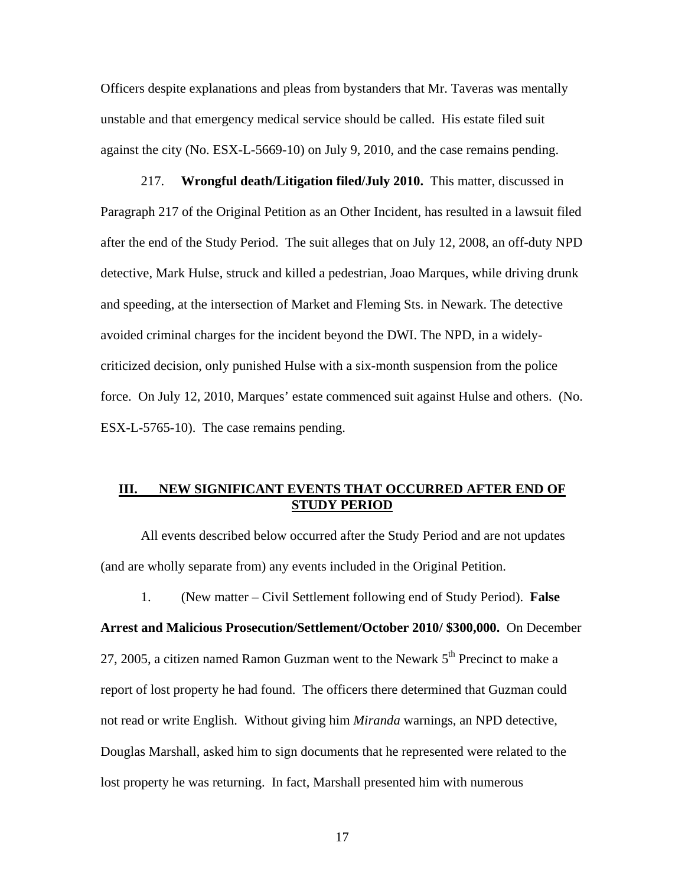Officers despite explanations and pleas from bystanders that Mr. Taveras was mentally unstable and that emergency medical service should be called. His estate filed suit against the city (No. ESX-L-5669-10) on July 9, 2010, and the case remains pending.

217. **Wrongful death/Litigation filed/July 2010.** This matter, discussed in Paragraph 217 of the Original Petition as an Other Incident, has resulted in a lawsuit filed after the end of the Study Period. The suit alleges that on July 12, 2008, an off-duty NPD detective, Mark Hulse, struck and killed a pedestrian, Joao Marques, while driving drunk and speeding, at the intersection of Market and Fleming Sts. in Newark. The detective avoided criminal charges for the incident beyond the DWI. The NPD, in a widelycriticized decision, only punished Hulse with a six-month suspension from the police force. On July 12, 2010, Marques' estate commenced suit against Hulse and others. (No. ESX-L-5765-10). The case remains pending.

### **III. NEW SIGNIFICANT EVENTS THAT OCCURRED AFTER END OF STUDY PERIOD**

All events described below occurred after the Study Period and are not updates (and are wholly separate from) any events included in the Original Petition.

1. (New matter – Civil Settlement following end of Study Period). **False** 

**Arrest and Malicious Prosecution/Settlement/October 2010/ \$300,000.** On December 27, 2005, a citizen named Ramon Guzman went to the Newark  $5<sup>th</sup>$  Precinct to make a report of lost property he had found. The officers there determined that Guzman could not read or write English. Without giving him *Miranda* warnings, an NPD detective, Douglas Marshall, asked him to sign documents that he represented were related to the lost property he was returning. In fact, Marshall presented him with numerous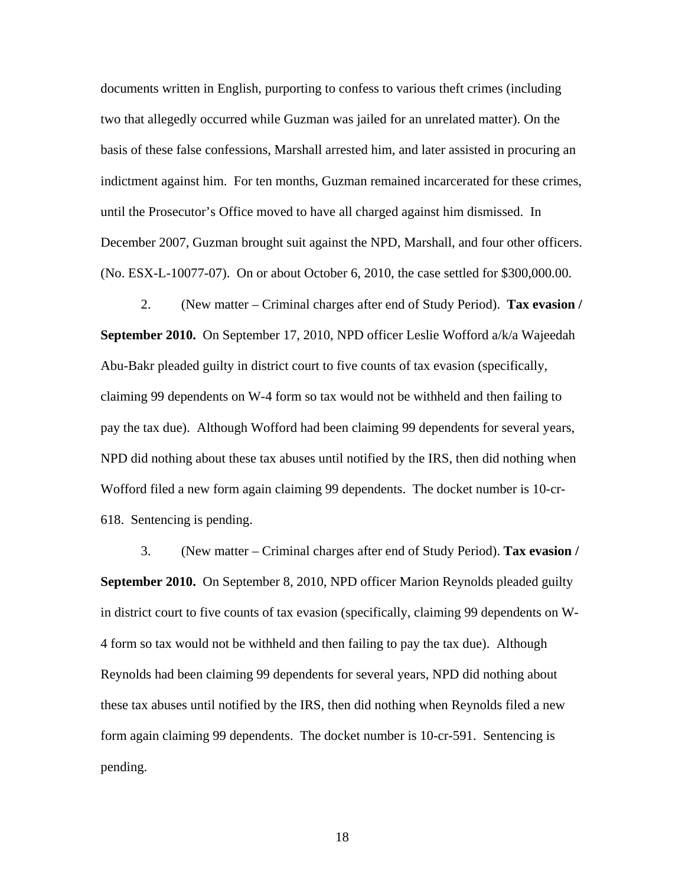documents written in English, purporting to confess to various theft crimes (including two that allegedly occurred while Guzman was jailed for an unrelated matter). On the basis of these false confessions, Marshall arrested him, and later assisted in procuring an indictment against him. For ten months, Guzman remained incarcerated for these crimes, until the Prosecutor's Office moved to have all charged against him dismissed. In December 2007, Guzman brought suit against the NPD, Marshall, and four other officers. (No. ESX-L-10077-07). On or about October 6, 2010, the case settled for \$300,000.00.

 2. (New matter – Criminal charges after end of Study Period). **Tax evasion / September 2010.** On September 17, 2010, NPD officer Leslie Wofford a/k/a Wajeedah Abu-Bakr pleaded guilty in district court to five counts of tax evasion (specifically, claiming 99 dependents on W-4 form so tax would not be withheld and then failing to pay the tax due). Although Wofford had been claiming 99 dependents for several years, NPD did nothing about these tax abuses until notified by the IRS, then did nothing when Wofford filed a new form again claiming 99 dependents. The docket number is 10-cr-618. Sentencing is pending.

 3. (New matter – Criminal charges after end of Study Period). **Tax evasion / September 2010.** On September 8, 2010, NPD officer Marion Reynolds pleaded guilty in district court to five counts of tax evasion (specifically, claiming 99 dependents on W-4 form so tax would not be withheld and then failing to pay the tax due). Although Reynolds had been claiming 99 dependents for several years, NPD did nothing about these tax abuses until notified by the IRS, then did nothing when Reynolds filed a new form again claiming 99 dependents. The docket number is 10-cr-591. Sentencing is pending.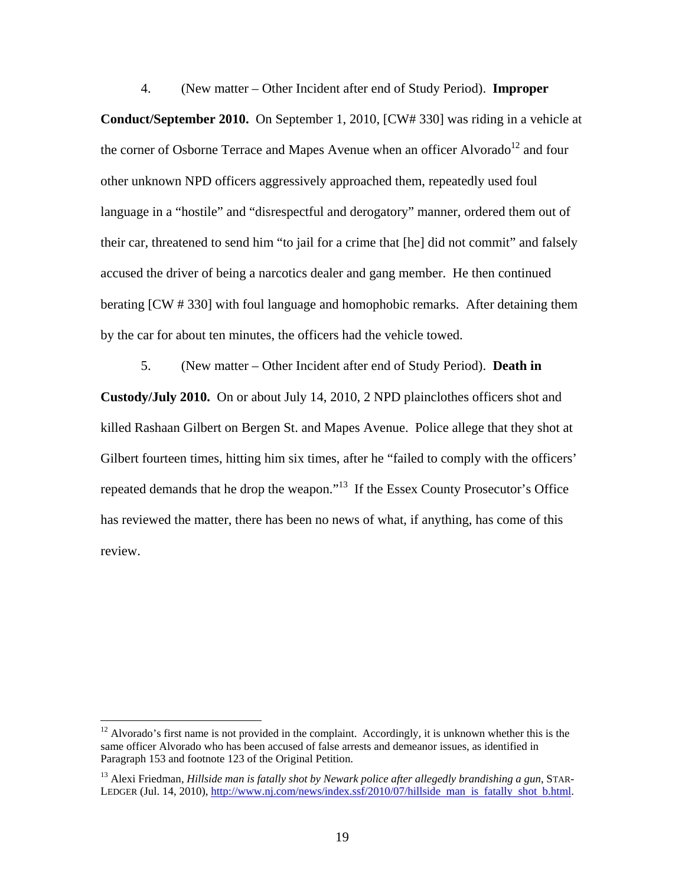4. (New matter – Other Incident after end of Study Period). **Improper Conduct/September 2010.** On September 1, 2010, [CW# 330] was riding in a vehicle at the corner of Osborne Terrace and Mapes Avenue when an officer Alvorado<sup>12</sup> and four other unknown NPD officers aggressively approached them, repeatedly used foul language in a "hostile" and "disrespectful and derogatory" manner, ordered them out of their car, threatened to send him "to jail for a crime that [he] did not commit" and falsely accused the driver of being a narcotics dealer and gang member. He then continued berating [CW # 330] with foul language and homophobic remarks. After detaining them by the car for about ten minutes, the officers had the vehicle towed.

5. (New matter – Other Incident after end of Study Period). **Death in Custody/July 2010.** On or about July 14, 2010, 2 NPD plainclothes officers shot and killed Rashaan Gilbert on Bergen St. and Mapes Avenue. Police allege that they shot at Gilbert fourteen times, hitting him six times, after he "failed to comply with the officers' repeated demands that he drop the weapon."13 If the Essex County Prosecutor's Office has reviewed the matter, there has been no news of what, if anything, has come of this review.

 $12$  Alvorado's first name is not provided in the complaint. Accordingly, it is unknown whether this is the same officer Alvorado who has been accused of false arrests and demeanor issues, as identified in Paragraph 153 and footnote 123 of the Original Petition.

<sup>13</sup> Alexi Friedman, *Hillside man is fatally shot by Newark police after allegedly brandishing a gun*, STAR-LEDGER (Jul. 14, 2010), http://www.nj.com/news/index.ssf/2010/07/hillside man is fatally shot b.html.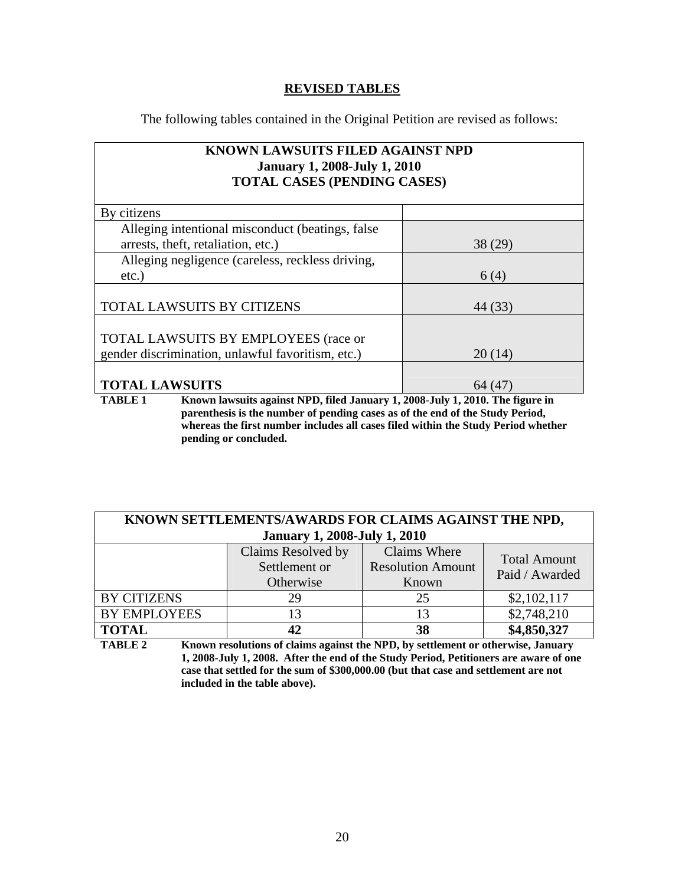### **REVISED TABLES**

The following tables contained in the Original Petition are revised as follows:

### **KNOWN LAWSUITS FILED AGAINST NPD January 1, 2008-July 1, 2010 TOTAL CASES (PENDING CASES)**

| By citizens                                       |         |
|---------------------------------------------------|---------|
| Alleging intentional misconduct (beatings, false) |         |
| arrests, theft, retaliation, etc.)                | 38 (29) |
| Alleging negligence (careless, reckless driving,  |         |
| $etc.$ )                                          | 6(4)    |
|                                                   |         |
| <b>TOTAL LAWSUITS BY CITIZENS</b>                 | 44 (33) |
|                                                   |         |
| <b>TOTAL LAWSUITS BY EMPLOYEES (race or</b>       |         |
| gender discrimination, unlawful favoritism, etc.) | 20(14)  |
|                                                   |         |
| <b>TOTAL LAWSUITS</b>                             |         |

**TABLE 1 Known lawsuits against NPD, filed January 1, 2008-July 1, 2010. The figure in parenthesis is the number of pending cases as of the end of the Study Period, whereas the first number includes all cases filed within the Study Period whether pending or concluded.** 

| KNOWN SETTLEMENTS/AWARDS FOR CLAIMS AGAINST THE NPD, |                    |                          |                     |
|------------------------------------------------------|--------------------|--------------------------|---------------------|
| <b>January 1, 2008-July 1, 2010</b>                  |                    |                          |                     |
|                                                      | Claims Resolved by | <b>Claims Where</b>      | <b>Total Amount</b> |
|                                                      | Settlement or      | <b>Resolution Amount</b> | Paid / Awarded      |
|                                                      | Otherwise          | Known                    |                     |
| <b>BY CITIZENS</b>                                   | 29                 | 25                       | \$2,102,117         |
| <b>BY EMPLOYEES</b>                                  | 13                 |                          | \$2,748,210         |
| <b>TOTAL</b>                                         | 42                 | 38                       | \$4,850,327         |

**TABLE 2 Known resolutions of claims against the NPD, by settlement or otherwise, January 1, 2008-July 1, 2008. After the end of the Study Period, Petitioners are aware of one case that settled for the sum of \$300,000.00 (but that case and settlement are not included in the table above).**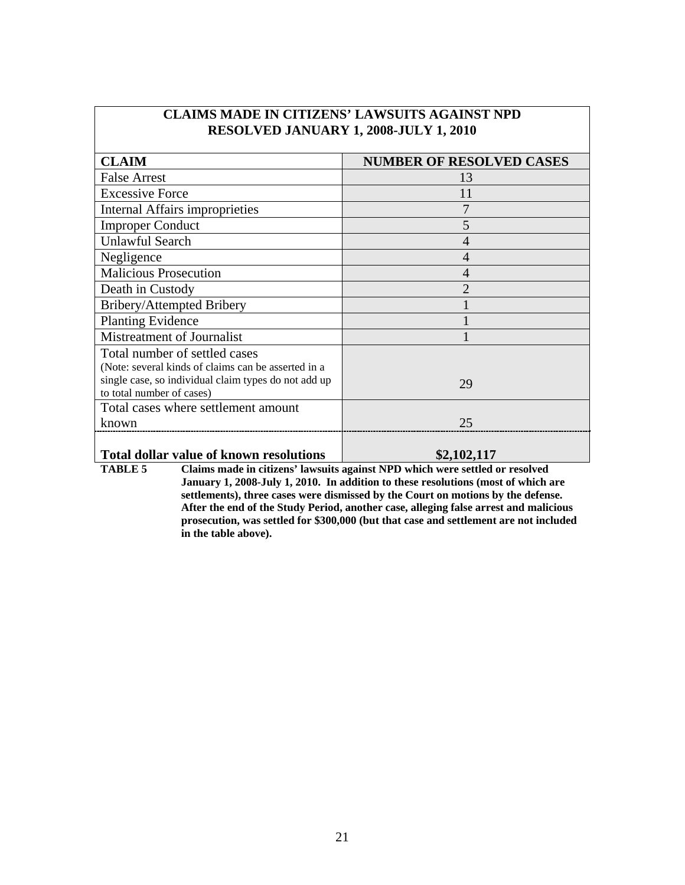| <b>CLAIM</b>                                         | <b>NUMBER OF RESOLVED CASES</b> |
|------------------------------------------------------|---------------------------------|
| <b>False Arrest</b>                                  | 13                              |
| <b>Excessive Force</b>                               | 11                              |
| Internal Affairs improprieties                       |                                 |
| <b>Improper Conduct</b>                              | 5                               |
| <b>Unlawful Search</b>                               | 4                               |
| Negligence                                           | 4                               |
| <b>Malicious Prosecution</b>                         | 4                               |
| Death in Custody                                     | っ                               |
| Bribery/Attempted Bribery                            |                                 |
| <b>Planting Evidence</b>                             |                                 |
| Mistreatment of Journalist                           |                                 |
| Total number of settled cases                        |                                 |
| (Note: several kinds of claims can be asserted in a  |                                 |
| single case, so individual claim types do not add up | 29                              |
| to total number of cases)                            |                                 |
| Total cases where settlement amount                  |                                 |
| known                                                | 25                              |
|                                                      |                                 |

### **CLAIMS MADE IN CITIZENS' LAWSUITS AGAINST NPD RESOLVED JANUARY 1, 2008-JULY 1, 2010**

## **Total dollar value of known resolutions** \$2,102,117<br> **TABLE 5** Claims made in citizens' lawsuits against NPD which were settled on the Settle of the Settle of the Settle of the Settle of the Settle of the Settle of the Se

Claims made in citizens' lawsuits against NPD which were settled or resolved **January 1, 2008-July 1, 2010. In addition to these resolutions (most of which are settlements), three cases were dismissed by the Court on motions by the defense. After the end of the Study Period, another case, alleging false arrest and malicious prosecution, was settled for \$300,000 (but that case and settlement are not included in the table above).**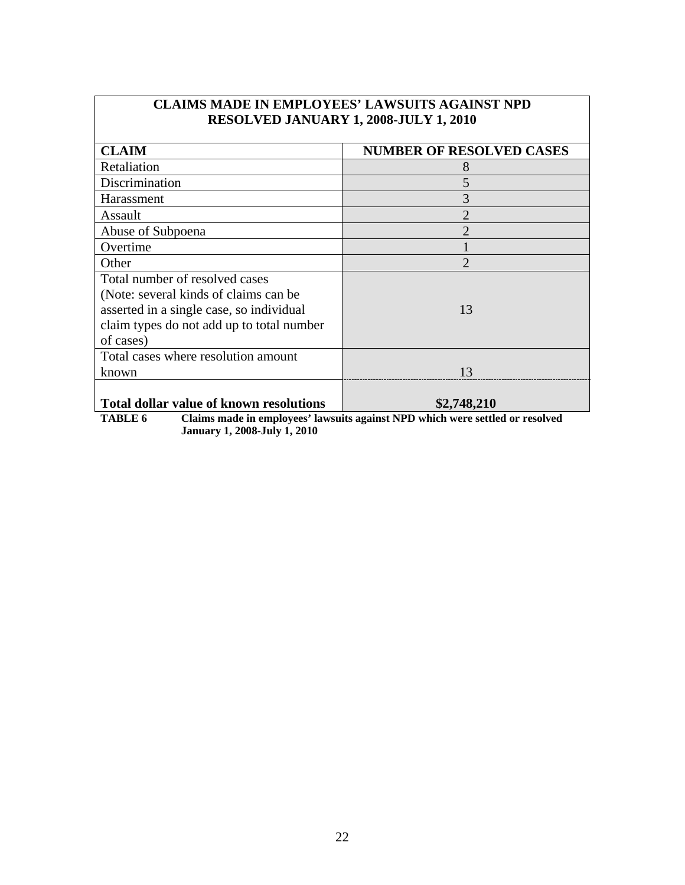| <b>RESOLVED JANUARY 1, 2008-JULY 1, 2010</b>                                                                                                                                   |                                 |
|--------------------------------------------------------------------------------------------------------------------------------------------------------------------------------|---------------------------------|
| <b>CLAIM</b>                                                                                                                                                                   | <b>NUMBER OF RESOLVED CASES</b> |
| Retaliation                                                                                                                                                                    | 8                               |
| Discrimination                                                                                                                                                                 | 5                               |
| Harassment                                                                                                                                                                     | 3                               |
| Assault                                                                                                                                                                        | $\overline{2}$                  |
| Abuse of Subpoena                                                                                                                                                              | $\mathcal{D}_{\mathcal{A}}$     |
| Overtime                                                                                                                                                                       |                                 |
| Other                                                                                                                                                                          | $\mathfrak{D}$                  |
| Total number of resolved cases<br>(Note: several kinds of claims can be)<br>asserted in a single case, so individual<br>claim types do not add up to total number<br>of cases) | 13                              |
| Total cases where resolution amount<br>known                                                                                                                                   | 13                              |
| <b>Total dollar value of known resolutions</b>                                                                                                                                 | \$2,748,210                     |

# **CLAIMS MADE IN EMPLOYEES' LAWSUITS AGAINST NPD**

 $\overline{\phantom{a}}$ 

 $\overline{\phantom{a}}$ 

**TABLE 6 Claims made in employees' lawsuits against NPD which were settled or resolved January 1, 2008-July 1, 2010**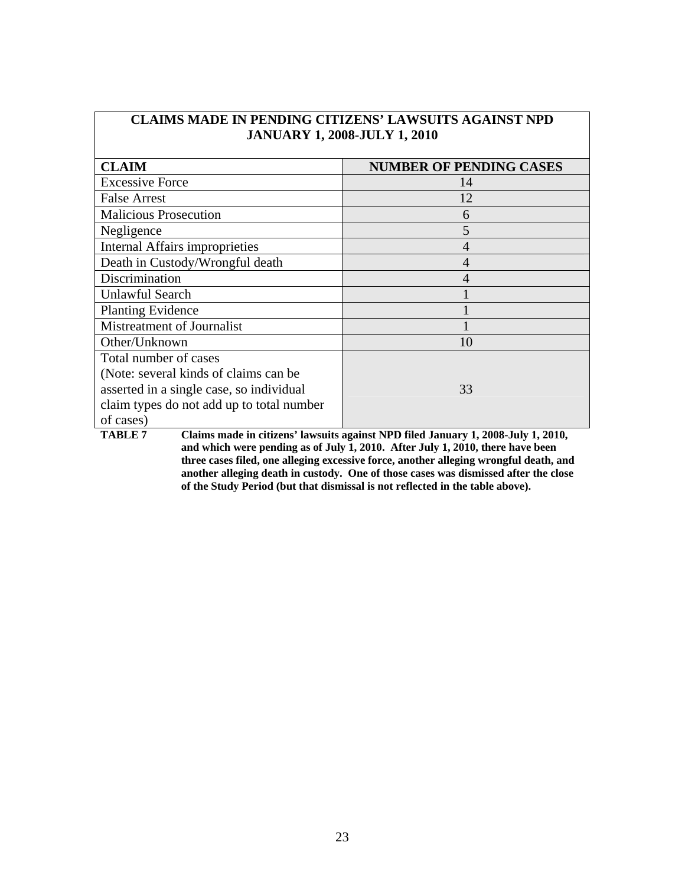| JANUARY 1, 2008-JULY 1, 2010              |                                |  |
|-------------------------------------------|--------------------------------|--|
| <b>CLAIM</b>                              | <b>NUMBER OF PENDING CASES</b> |  |
| <b>Excessive Force</b>                    | 14                             |  |
| <b>False Arrest</b>                       | 12                             |  |
| <b>Malicious Prosecution</b>              | 6                              |  |
| Negligence                                | 5                              |  |
| Internal Affairs improprieties            | 4                              |  |
| Death in Custody/Wrongful death           | 4                              |  |
| Discrimination                            | 4                              |  |
| <b>Unlawful Search</b>                    |                                |  |
| <b>Planting Evidence</b>                  |                                |  |
| Mistreatment of Journalist                |                                |  |
| Other/Unknown                             | 10                             |  |
| Total number of cases                     |                                |  |
| (Note: several kinds of claims can be)    |                                |  |
| asserted in a single case, so individual  | 33                             |  |
| claim types do not add up to total number |                                |  |
| of cases)                                 |                                |  |

**CLAIMS MADE IN PENDING CITIZENS' LAWSUITS AGAINST NPD JANUARY 1, 2008-JULY 1, 2010** 

**TABLE 7 Claims made in citizens' lawsuits against NPD filed January 1, 2008-July 1, 2010, and which were pending as of July 1, 2010. After July 1, 2010, there have been three cases filed, one alleging excessive force, another alleging wrongful death, and another alleging death in custody. One of those cases was dismissed after the close of the Study Period (but that dismissal is not reflected in the table above).**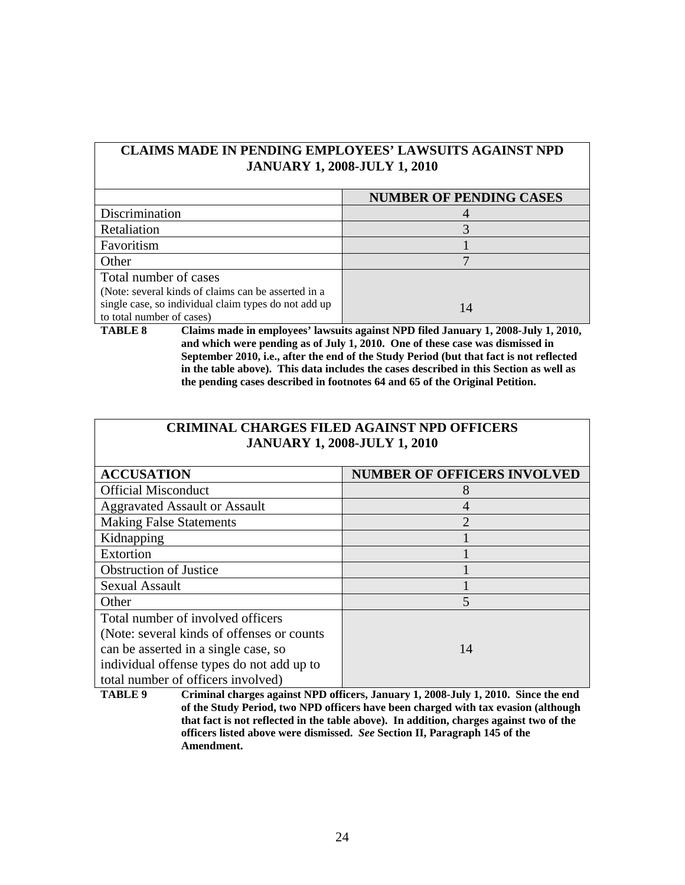### **CLAIMS MADE IN PENDING EMPLOYEES' LAWSUITS AGAINST NPD JANUARY 1, 2008-JULY 1, 2010**

|                                                      | <b>NUMBER OF PENDING CASES</b> |
|------------------------------------------------------|--------------------------------|
| Discrimination                                       |                                |
| Retaliation                                          |                                |
| Favoritism                                           |                                |
| Other                                                |                                |
| Total number of cases                                |                                |
| (Note: several kinds of claims can be asserted in a  |                                |
| single case, so individual claim types do not add up | $\mathsf{I}4$                  |
| to total number of cases)                            |                                |

**TABLE 8 Claims made in employees' lawsuits against NPD filed January 1, 2008-July 1, 2010, and which were pending as of July 1, 2010. One of these case was dismissed in September 2010, i.e., after the end of the Study Period (but that fact is not reflected in the table above). This data includes the cases described in this Section as well as the pending cases described in footnotes 64 and 65 of the Original Petition.** 

### **CRIMINAL CHARGES FILED AGAINST NPD OFFICERS JANUARY 1, 2008-JULY 1, 2010**

| <b>ACCUSATION</b>                           | <b>NUMBER OF OFFICERS INVOLVED</b> |
|---------------------------------------------|------------------------------------|
| <b>Official Misconduct</b>                  | 8                                  |
| <b>Aggravated Assault or Assault</b>        |                                    |
| <b>Making False Statements</b>              | $\overline{2}$                     |
| Kidnapping                                  |                                    |
| Extortion                                   |                                    |
| <b>Obstruction of Justice</b>               |                                    |
| <b>Sexual Assault</b>                       |                                    |
| Other                                       | 5                                  |
| Total number of involved officers           |                                    |
| (Note: several kinds of offenses or counts) |                                    |
| can be asserted in a single case, so        | 14                                 |
| individual offense types do not add up to   |                                    |
| total number of officers involved)          |                                    |

**TABLE 9 Criminal charges against NPD officers, January 1, 2008-July 1, 2010. Since the end of the Study Period, two NPD officers have been charged with tax evasion (although that fact is not reflected in the table above). In addition, charges against two of the officers listed above were dismissed.** *See* **Section II, Paragraph 145 of the Amendment.**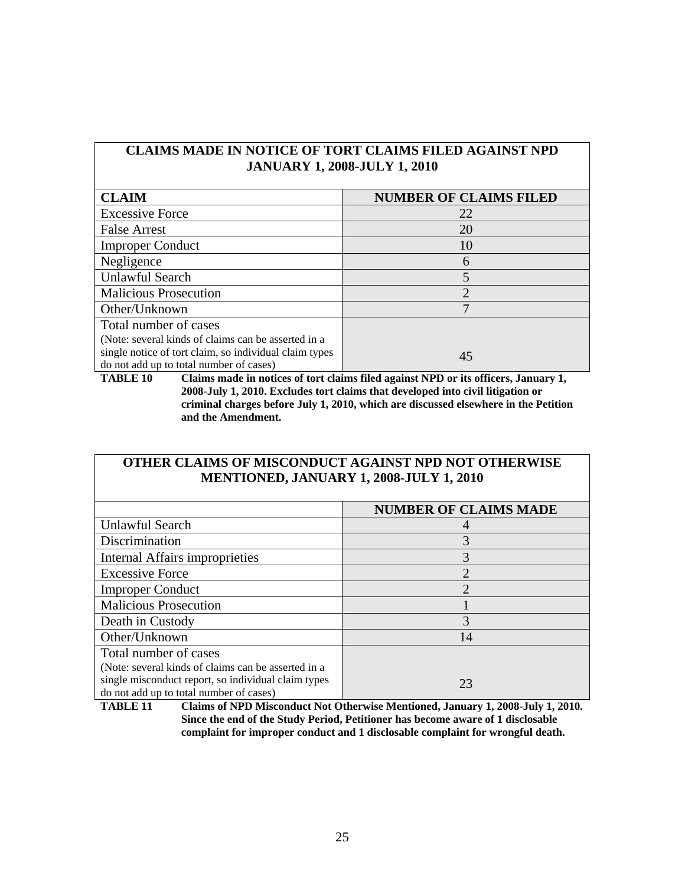### **CLAIMS MADE IN NOTICE OF TORT CLAIMS FILED AGAINST NPD JANUARY 1, 2008-JULY 1, 2010**

| <b>CLAIM</b>                                           | <b>NUMBER OF CLAIMS FILED</b> |
|--------------------------------------------------------|-------------------------------|
| <b>Excessive Force</b>                                 | 22                            |
| <b>False Arrest</b>                                    | 20                            |
| <b>Improper Conduct</b>                                | 10                            |
| Negligence                                             | 6                             |
| <b>Unlawful Search</b>                                 |                               |
| <b>Malicious Prosecution</b>                           | $\mathcal{D}_{\mathcal{L}}$   |
| Other/Unknown                                          |                               |
| Total number of cases                                  |                               |
| (Note: several kinds of claims can be asserted in a    |                               |
| single notice of tort claim, so individual claim types | 45                            |
| do not add up to total number of cases)                |                               |

**TABLE 10 Claims made in notices of tort claims filed against NPD or its officers, January 1, 2008-July 1, 2010. Excludes tort claims that developed into civil litigation or criminal charges before July 1, 2010, which are discussed elsewhere in the Petition and the Amendment.** 

### **OTHER CLAIMS OF MISCONDUCT AGAINST NPD NOT OTHERWISE MENTIONED, JANUARY 1, 2008-JULY 1, 2010**

|                                                     | <b>NUMBER OF CLAIMS MADE</b> |
|-----------------------------------------------------|------------------------------|
| Unlawful Search                                     |                              |
| Discrimination                                      | 3                            |
| <b>Internal Affairs improprieties</b>               | 3                            |
| <b>Excessive Force</b>                              | $\overline{2}$               |
| <b>Improper Conduct</b>                             | $\overline{2}$               |
| <b>Malicious Prosecution</b>                        |                              |
| Death in Custody                                    | 3                            |
| Other/Unknown                                       | 14                           |
| Total number of cases                               |                              |
| (Note: several kinds of claims can be asserted in a |                              |
| single misconduct report, so individual claim types | 23                           |
| do not add up to total number of cases)             |                              |

**TABLE 11 Claims of NPD Misconduct Not Otherwise Mentioned, January 1, 2008-July 1, 2010. Since the end of the Study Period, Petitioner has become aware of 1 disclosable complaint for improper conduct and 1 disclosable complaint for wrongful death.**